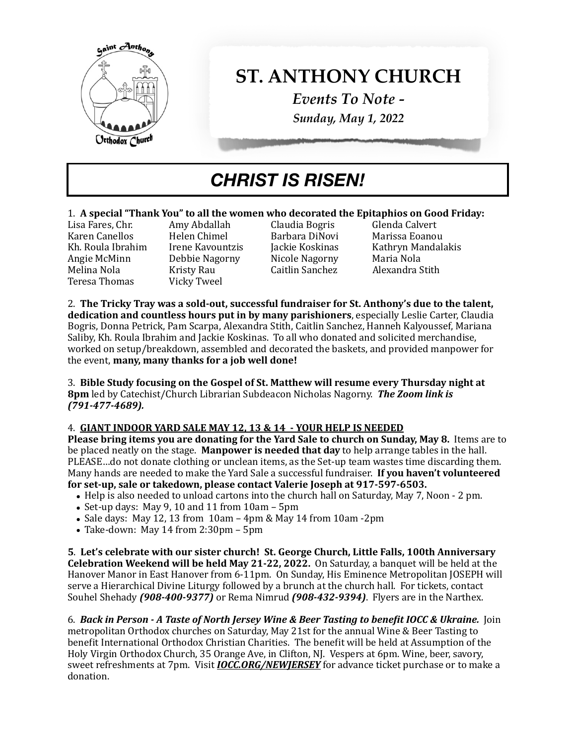

# **ST. ANTHONY CHURCH**

*Events To Note - Sunday, May 1, 2022*

## *CHRIST IS RISEN!*

## 1. **A special "Thank You" to all the women who decorated the Epitaphios on Good Friday:**<br>Lisa Fares. Chr. **Amy Abdallah** Claudia Bogris Glenda Calvert

Lisa Fares, Chr. Amy Abdallah Claudia Bogris Glenda Calvert Angie McMinn Debbie Nagorny Nicole Nagorny Maria Nola Teresa Thomas

Kristy Rau **Caitlin Sanchez**<br>Vicky Tweel

Marissa Eoanou Kh. Roula Ibrahim Irene Kavountzis Jackie Koskinas Kathryn Mandalakis<br>Angie McMinn Debbie Nagorny Nicole Nagorny Maria Nola

2. The Tricky Tray was a sold-out, successful fundraiser for St. Anthony's due to the talent, **dedication and countless hours put in by many parishioners**, especially Leslie Carter, Claudia Bogris, Donna Petrick, Pam Scarpa, Alexandra Stith, Caitlin Sanchez, Hanneh Kalyoussef, Mariana Saliby, Kh. Roula Ibrahim and Jackie Koskinas. To all who donated and solicited merchandise, worked on setup/breakdown, assembled and decorated the baskets, and provided manpower for the event, **many, many thanks for a job well done!** 

3. Bible Study focusing on the Gospel of St. Matthew will resume every Thursday night at **8pm** led by Catechist/Church Librarian Subdeacon Nicholas Nagorny. **The Zoom link is** *(791-477-4689).* 

#### 4. **GIANT INDOOR YARD SALE MAY 12, 13 & 14 - YOUR HELP IS NEEDED**

**Please bring items you are donating for the Yard Sale to church on Sunday, May 8.** Items are to be placed neatly on the stage. Manpower is needed that day to help arrange tables in the hall. PLEASE...do not donate clothing or unclean items, as the Set-up team wastes time discarding them. Many hands are needed to make the Yard Sale a successful fundraiser. **If you haven't volunteered** for set-up, sale or takedown, please contact Valerie Joseph at 917-597-6503.

- Help is also needed to unload cartons into the church hall on Saturday, May 7, Noon 2 pm.
- Set-up days: May 9, 10 and 11 from  $10$ am  $5$ pm
- Sale days: May 12, 13 from  $10$ am  $4$ pm & May 14 from  $10$ am - $2$ pm
- Take-down: May 14 from  $2:30 \text{pm} 5 \text{pm}$

**5**. **Let's celebrate with our sister church! St. George Church, Little Falls, 100th Anniversary Celebration Weekend will be held May 21-22, 2022.** On Saturday, a banquet will be held at the Hanover Manor in East Hanover from 6-11pm. On Sunday, His Eminence Metropolitan JOSEPH will serve a Hierarchical Divine Liturgy followed by a brunch at the church hall. For tickets, contact Souhel Shehady (908-400-9377) or Rema Nimrud (908-432-9394). Flyers are in the Narthex.

6. *Back in Person - A Taste of North Jersey Wine & Beer Tasting to benefit IOCC & Ukraine.* Join metropolitan Orthodox churches on Saturday, May 21st for the annual Wine & Beer Tasting to benefit International Orthodox Christian Charities. The benefit will be held at Assumption of the Holy Virgin Orthodox Church, 35 Orange Ave, in Clifton, NJ. Vespers at 6pm. Wine, beer, savory, sweet refreshments at 7pm. Visit *IOCC.ORG/NEWJERSEY* for advance ticket purchase or to make a donation.